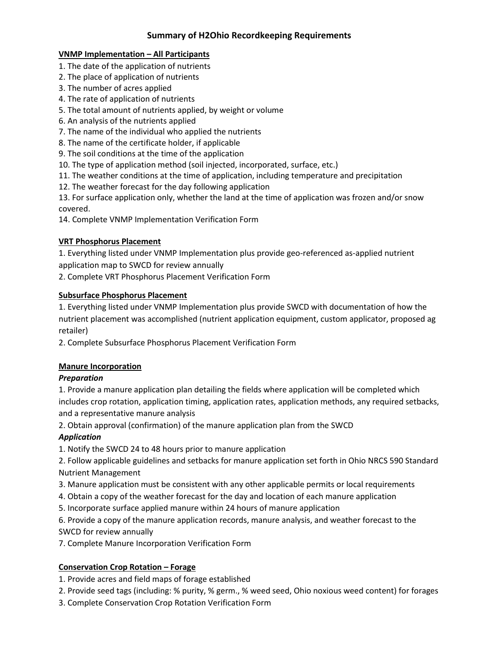# **Summary of H2Ohio Recordkeeping Requirements**

### **VNMP Implementation – All Participants**

- 1. The date of the application of nutrients
- 2. The place of application of nutrients
- 3. The number of acres applied
- 4. The rate of application of nutrients
- 5. The total amount of nutrients applied, by weight or volume
- 6. An analysis of the nutrients applied
- 7. The name of the individual who applied the nutrients
- 8. The name of the certificate holder, if applicable
- 9. The soil conditions at the time of the application
- 10. The type of application method (soil injected, incorporated, surface, etc.)
- 11. The weather conditions at the time of application, including temperature and precipitation
- 12. The weather forecast for the day following application

13. For surface application only, whether the land at the time of application was frozen and/or snow covered.

14. Complete VNMP Implementation Verification Form

## **VRT Phosphorus Placement**

1. Everything listed under VNMP Implementation plus provide geo-referenced as-applied nutrient application map to SWCD for review annually

2. Complete VRT Phosphorus Placement Verification Form

## **Subsurface Phosphorus Placement**

1. Everything listed under VNMP Implementation plus provide SWCD with documentation of how the nutrient placement was accomplished (nutrient application equipment, custom applicator, proposed ag retailer)

2. Complete Subsurface Phosphorus Placement Verification Form

# **Manure Incorporation**

## *Preparation*

1. Provide a manure application plan detailing the fields where application will be completed which includes crop rotation, application timing, application rates, application methods, any required setbacks, and a representative manure analysis

2. Obtain approval (confirmation) of the manure application plan from the SWCD

# *Application*

1. Notify the SWCD 24 to 48 hours prior to manure application

2. Follow applicable guidelines and setbacks for manure application set forth in Ohio NRCS 590 Standard Nutrient Management

- 3. Manure application must be consistent with any other applicable permits or local requirements
- 4. Obtain a copy of the weather forecast for the day and location of each manure application
- 5. Incorporate surface applied manure within 24 hours of manure application

6. Provide a copy of the manure application records, manure analysis, and weather forecast to the SWCD for review annually

7. Complete Manure Incorporation Verification Form

# **Conservation Crop Rotation – Forage**

1. Provide acres and field maps of forage established

- 2. Provide seed tags (including: % purity, % germ., % weed seed, Ohio noxious weed content) for forages
- 3. Complete Conservation Crop Rotation Verification Form